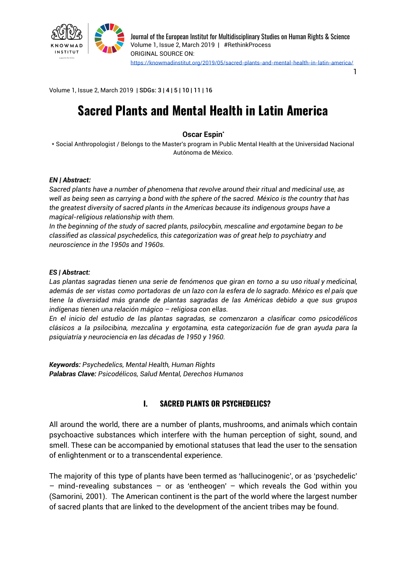

1

Volume 1, Issue 2, March 2019 | SDGs: 3 | 4 | 5 | 10 | 11 | 16

# **Sacred Plants and Mental Health in Latin America**

#### **Oscar Espin \***

\* Social Anthropologist / Belongs to the Master's program in Public Mental Health at the Universidad Nacional Autónoma de México.

#### *EN | Abstract:*

*Sacred plants have a number of phenomena that revolve around their ritual and medicinal use, as* well as being seen as carrying a bond with the sphere of the sacred. México is the country that has *the greatest diversity of sacred plants in the Americas because its indigenous groups have a magical-religious relationship with them.*

*In the beginning of the study of sacred plants, psilocybin, mescaline and ergotamine began to be classified as classical psychedelics, this categorization was of great help to psychiatry and neuroscience in the 1950s and 1960s.*

#### *ES | Abstract:*

*Las plantas sagradas tienen una serie de fenómenos que giran en torno a su uso ritual y medicinal,* además de ser vistas como portadoras de un lazo con la esfera de lo sagrado. México es el país que *tiene la diversidad más grande de plantas sagradas de las Américas debido a que sus grupos indígenas tienen una relación mágico – religiosa con ellas.*

*En el inicio del estudio de las plantas sagradas, se comenzaron a clasificar como psicodélicos clásicos a la psilocibina, mezcalina y ergotamina, esta categorización fue de gran ayuda para la psiquiatría y neurociencia en las décadas de 1950 y 1960.*

*Keywords: Psychedelics, Mental Health, Human Rights Palabras Clave: Psicodélicos, Salud Mental, Derechos Humanos*

#### **I. SACRED PLANTS OR PSYCHEDELICS?**

All around the world, there are a number of plants, mushrooms, and animals which contain psychoactive substances which interfere with the human perception of sight, sound, and smell. These can be accompanied by emotional statuses that lead the user to the sensation of enlightenment or to a transcendental experience.

The majority of this type of plants have been termed as 'hallucinogenic', or as 'psychedelic'  $-$  mind-revealing substances  $-$  or as 'entheogen'  $-$  which reveals the God within you (Samorini, 2001). The American continent is the part of the world where the largest number of sacred plants that are linked to the development of the ancient tribes may be found.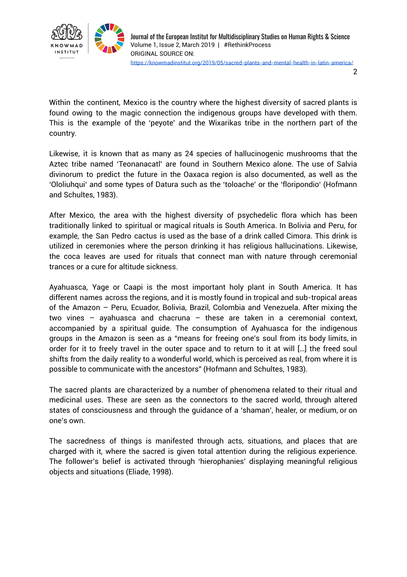

2

Within the continent, Mexico is the country where the highest diversity of sacred plants is found owing to the magic connection the indigenous groups have developed with them. This is the example of the 'peyote' and the Wixarikas tribe in the northern part of the country.

Likewise, it is known that as many as 24 species of hallucinogenic mushrooms that the Aztec tribe named 'Teonanacatl' are found in Southern Mexico alone. The use of Salvia divinorum to predict the future in the Oaxaca region is also documented, as well as the 'Ololiuhqui' and some types of Datura such as the 'toloache' or the 'floripondio' (Hofmann and Schultes, 1983).

After Mexico, the area with the highest diversity of psychedelic flora which has been traditionally linked to spiritual or magical rituals is South America. In Bolivia and Peru, for example, the San Pedro cactus is used as the base of a drink called Cimora. This drink is utilized in ceremonies where the person drinking it has religious hallucinations. Likewise, the coca leaves are used for rituals that connect man with nature through ceremonial trances or a cure for altitude sickness.

Ayahuasca, Yage or Caapi is the most important holy plant in South America. It has different names across the regions, and it is mostly found in tropical and sub-tropical areas of the Amazon – Peru, Ecuador, Bolivia, Brazil, Colombia and Venezuela. After mixing the two vines – ayahuasca and chacruna – these are taken in a ceremonial context, accompanied by a spiritual guide. The consumption of Ayahuasca for the indigenous groups in the Amazon is seen as a "means for freeing one's soul from its body limits, in order for it to freely travel in the outer space and to return to it at will […] the freed soul shifts from the daily reality to a wonderful world, which is perceived as real, from where it is possible to communicate with the ancestors" (Hofmann and Schultes, 1983).

The sacred plants are characterized by a number of phenomena related to their ritual and medicinal uses. These are seen as the connectors to the sacred world, through altered states of consciousness and through the guidance of a 'shaman', healer, or medium, or on one's own.

The sacredness of things is manifested through acts, situations, and places that are charged with it, where the sacred is given total attention during the religious experience. The follower's belief is activated through 'hierophanies' displaying meaningful religious objects and situations (Eliade, 1998).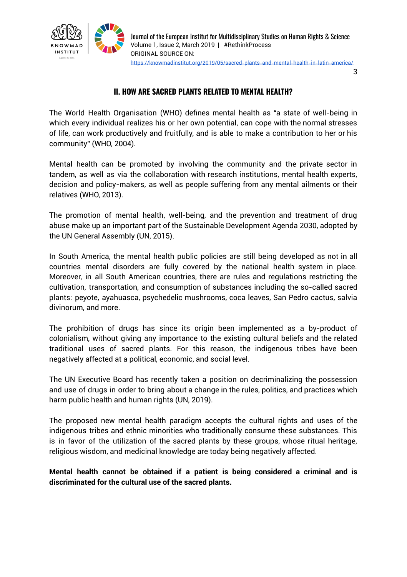

3

## **II. HOW ARE SACRED PLANTS RELATED TO MENTAL HEALTH?**

The World Health Organisation (WHO) defines mental health as "a state of well-being in which every individual realizes his or her own potential, can cope with the normal stresses of life, can work productively and fruitfully, and is able to make a contribution to her or his community" (WHO, 2004).

Mental health can be promoted by involving the community and the private sector in tandem, as well as via the collaboration with research institutions, mental health experts, decision and policy-makers, as well as people suffering from any mental ailments or their relatives (WHO, 2013).

The promotion of mental health, well-being, and the prevention and treatment of drug abuse make up an important part of the Sustainable Development Agenda 2030, adopted by the UN General Assembly (UN, 2015).

In South America, the mental health public policies are still being developed as not in all countries mental disorders are fully covered by the national health system in place. Moreover, in all South American countries, there are rules and regulations restricting the cultivation, transportation, and consumption of substances including the so-called sacred plants: peyote, ayahuasca, psychedelic mushrooms, coca leaves, San Pedro cactus, salvia divinorum, and more.

The prohibition of drugs has since its origin been implemented as a by-product of colonialism, without giving any importance to the existing cultural beliefs and the related traditional uses of sacred plants. For this reason, the indigenous tribes have been negatively affected at a political, economic, and social level.

The UN Executive Board has recently taken a position on decriminalizing the possession and use of drugs in order to bring about a change in the rules, politics, and practices which harm public health and human rights (UN, 2019).

The proposed new mental health paradigm accepts the cultural rights and uses of the indigenous tribes and ethnic minorities who traditionally consume these substances. This is in favor of the utilization of the sacred plants by these groups, whose ritual heritage, religious wisdom, and medicinal knowledge are today being negatively affected.

**Mental health cannot be obtained if a patient is being considered a criminal and is discriminated for the cultural use of the sacred plants.**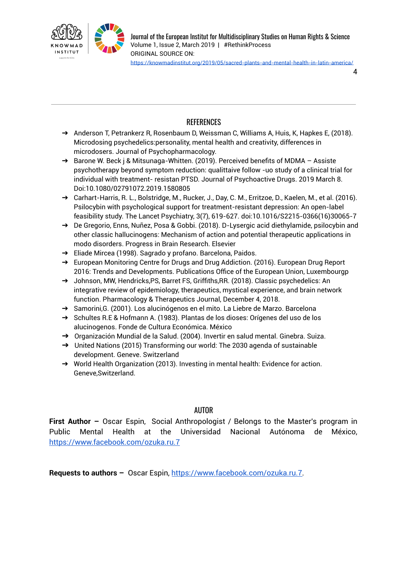

4

## REFERENCES

- → Anderson T, Petrankerz R, Rosenbaum D, Weissman C, Williams A, Huis, K, Hapkes E, (2018). Microdosing psychedelics:personality, mental health and creativity, differences in microdosers. Journal of Psychopharmacology.
- ➔ Barone W. Beck j & Mitsunaga-Whitten. (2019). Perceived benefits of MDMA Assiste psychotherapy beyond symptom reduction: qualittaive follow -uo study of a clinical trial for individual with treatment- resistan PTSD. Journal of Psychoactive Drugs. 2019 March 8. Doi:10.1080/02791072.2019.1580805
- → Carhart-Harris, R. L., Bolstridge, M., Rucker, J., Day, C. M., Erritzoe, D., Kaelen, M., et al. (2016). Psilocybin with psychological support for treatment-resistant depression: An open-label feasibility study. The Lancet Psychiatry, 3(7), 619-627. doi:10.1016/S2215-0366(16)30065-7
- ➔ De Gregorio, Enns, Nuñez, Posa & Gobbi. (2018). D-Lysergic acid diethylamide, psilocybin and other classic hallucinogens: Mechanism of action and potential therapeutic applications in modo disorders. Progress in Brain Research. Elsevier
- ➔ Eliade Mircea (1998). Sagrado y profano. Barcelona, Paidos.
- ➔ European Monitoring Centre for Drugs and Drug Addiction. (2016). European Drug Report 2016: Trends and Developments. Publications Office of the European Union, Luxembourgp
- ➔ Johnson, MW, Hendricks,PS, Barret FS, Griffiths,RR. (2018). Classic psychedelics: An integrative review of epidemiology, therapeutics, mystical experience, and brain network function. Pharmacology & Therapeutics Journal, December 4, 2018.
- ➔ Samorini,G. (2001). Los alucinógenos en el mito. La Liebre de Marzo. Barcelona
- ➔ Schultes R.E & Hofmann A. (1983). Plantas de los dioses: Orígenes del uso de los alucinogenos. Fonde de Cultura Económica. México
- ➔ Organización Mundial de la Salud. (2004). Invertir en salud mental. Ginebra. Suiza.
- → United Nations (2015) Transforming our world: The 2030 agenda of sustainable development. Geneve. Switzerland
- ➔ World Health Organization (2013). Investing in mental health: Evidence for action. Geneve,Switzerland.

## AUTOR

**First Author –** Oscar Espin, Social Anthropologist / Belongs to the Master's program in Public Mental Health at the Universidad Nacional Autónoma de México, <https://www.facebook.com/ozuka.ru.7>

**Requests to authors –** Oscar Espin, [https://www.facebook.com/ozuka.ru.7.](https://www.facebook.com/ozuka.ru.7)